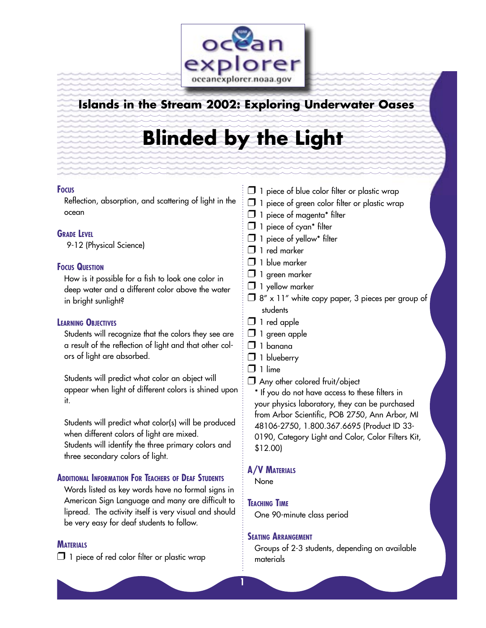

## **Islands in the Stream 2002: Exploring Underwater Oases**

# **Blinded by the Light**

#### **FOCUS**

Reflection, absorption, and scattering of light in the ocean

## **GRADE LEVEL**

9-12 (Physical Science)

## **FOCUS QUESTION**

How is it possible for a fish to look one color in deep water and a different color above the water in bright sunlight?

## **LEARNING OBJECTIVES**

Students will recognize that the colors they see are a result of the reflection of light and that other colors of light are absorbed.

Students will predict what color an object will appear when light of different colors is shined upon it.

Students will predict what color(s) will be produced when different colors of light are mixed. Students will identify the three primary colors and three secondary colors of light.

## **ADDITIONAL INFORMATION FOR TEACHERS OF DEAF STUDENTS**

Words listed as key words have no formal signs in American Sign Language and many are difficult to lipread. The activity itself is very visual and should be very easy for deaf students to follow.

## **MATERIALS**

 $\Box$  1 piece of red color filter or plastic wrap

- $\Box$  1 piece of blue color filter or plastic wrap
- $\Box$  1 piece of green color filter or plastic wrap
- $\Box$  1 piece of magenta\* filter
- $\Box$  1 piece of cyan\* filter
- $\Box$  1 piece of yellow\* filter
- $\Box$  1 red marker
- $\Box$  1 blue marker
- $\Box$  1 green marker
- $\Box$  1 yellow marker
- $\Box$  8" x 11" white copy paper, 3 pieces per group of students
- $\Box$  1 red apple
- $\Box$  1 green apple
- $\Box$  1 banana
- **1** blueberry
- $\Box$  1 lime
- Any other colored fruit/object

\* If you do not have access to these filters in your physics laboratory, they can be purchased from Arbor Scientific, POB 2750, Ann Arbor, MI 48106-2750, 1.800.367.6695 (Product ID 33- 0190, Category Light and Color, Color Filters Kit, \$12.00)

## **A/V MATERIALS**

None

## **TEACHING TIME**

One 90-minute class period

#### **SEATING ARRANGEMENT**

Groups of 2-3 students, depending on available materials

**1**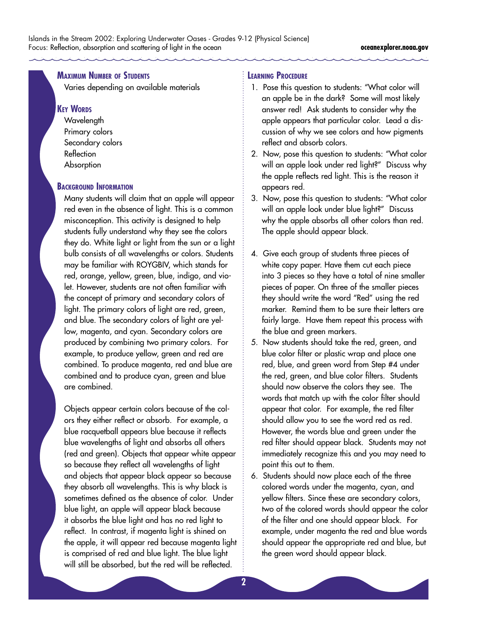## **MAXIMUM NUMBER OF STUDENTS**

Varies depending on available materials

#### **KEY WORDS**

**Wavelength** Primary colors Secondary colors Reflection **Absorption** 

#### **BACKGROUND INFORMATION**

Many students will claim that an apple will appear red even in the absence of light. This is a common misconception. This activity is designed to help students fully understand why they see the colors they do. White light or light from the sun or a light bulb consists of all wavelengths or colors. Students may be familiar with ROYGBIV, which stands for red, orange, yellow, green, blue, indigo, and violet. However, students are not often familiar with the concept of primary and secondary colors of light. The primary colors of light are red, green, and blue. The secondary colors of light are yellow, magenta, and cyan. Secondary colors are produced by combining two primary colors. For example, to produce yellow, green and red are combined. To produce magenta, red and blue are combined and to produce cyan, green and blue are combined.

Objects appear certain colors because of the colors they either reflect or absorb. For example, a blue racquetball appears blue because it reflects blue wavelengths of light and absorbs all others (red and green). Objects that appear white appear so because they reflect all wavelengths of light and objects that appear black appear so because they absorb all wavelengths. This is why black is sometimes defined as the absence of color. Under blue light, an apple will appear black because it absorbs the blue light and has no red light to reflect. In contrast, if magenta light is shined on the apple, it will appear red because magenta light is comprised of red and blue light. The blue light will still be absorbed, but the red will be reflected.

#### **LEARNING PROCEDURE**

- 1. Pose this question to students: "What color will an apple be in the dark? Some will most likely answer red! Ask students to consider why the apple appears that particular color. Lead a discussion of why we see colors and how pigments reflect and absorb colors.
- 2. Now, pose this question to students: "What color will an apple look under red light?" Discuss why the apple reflects red light. This is the reason it appears red.
- 3. Now, pose this question to students: "What color will an apple look under blue light?" Discuss why the apple absorbs all other colors than red. The apple should appear black.
- 4. Give each group of students three pieces of white copy paper. Have them cut each piece into 3 pieces so they have a total of nine smaller pieces of paper. On three of the smaller pieces they should write the word "Red" using the red marker. Remind them to be sure their letters are fairly large. Have them repeat this process with the blue and green markers.
- 5. Now students should take the red, green, and blue color filter or plastic wrap and place one red, blue, and green word from Step #4 under the red, green, and blue color filters. Students should now observe the colors they see. The words that match up with the color filter should appear that color. For example, the red filter should allow you to see the word red as red. However, the words blue and green under the red filter should appear black. Students may not immediately recognize this and you may need to point this out to them.
- 6. Students should now place each of the three colored words under the magenta, cyan, and yellow filters. Since these are secondary colors, two of the colored words should appear the color of the filter and one should appear black. For example, under magenta the red and blue words should appear the appropriate red and blue, but the green word should appear black.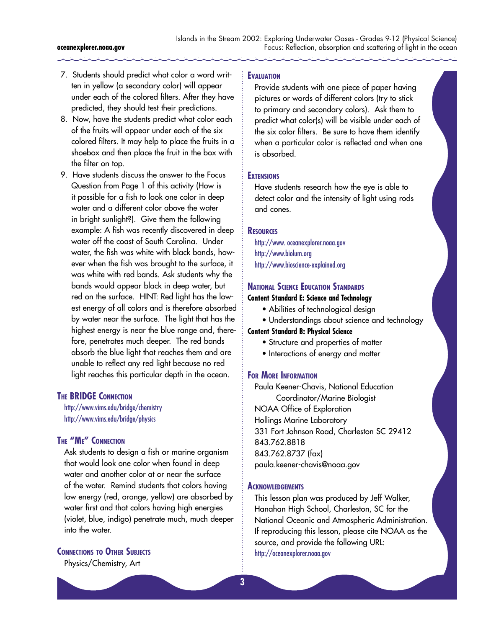- 7. Students should predict what color a word written in yellow (a secondary color) will appear under each of the colored filters. After they have predicted, they should test their predictions.
- 8. Now, have the students predict what color each of the fruits will appear under each of the six colored filters. It may help to place the fruits in a shoebox and then place the fruit in the box with the filter on top.
- 9. Have students discuss the answer to the Focus Question from Page 1 of this activity (How is it possible for a fish to look one color in deep water and a different color above the water in bright sunlight?). Give them the following example: A fish was recently discovered in deep water off the coast of South Carolina. Under water, the fish was white with black bands, however when the fish was brought to the surface, it was white with red bands. Ask students why the bands would appear black in deep water, but red on the surface. HINT: Red light has the lowest energy of all colors and is therefore absorbed by water near the surface. The light that has the highest energy is near the blue range and, therefore, penetrates much deeper. The red bands absorb the blue light that reaches them and are unable to reflect any red light because no red light reaches this particular depth in the ocean.

#### **THE BRIDGE CONNECTION**

<http://www.vims.edu/bridge/chemistry> <http://www.vims.edu/bridge/physics>

### **THE "ME" CONNECTION**

Ask students to design a fish or marine organism that would look one color when found in deep water and another color at or near the surface of the water. Remind students that colors having low energy (red, orange, yellow) are absorbed by water first and that colors having high energies (violet, blue, indigo) penetrate much, much deeper into the water.

#### **CONNECTIONS TO OTHER SUBJECTS**

Physics/Chemistry, Art

#### **EVALUATION**

Provide students with one piece of paper having pictures or words of different colors (try to stick to primary and secondary colors). Ask them to predict what color(s) will be visible under each of the six color filters. Be sure to have them identify when a particular color is reflected and when one is absorbed.

#### **EXTENSIONS**

Have students research how the eye is able to detect color and the intensity of light using rods and cones.

#### **RESOURCES**

<http://www. oceanexplorer.noaa.gov> [http://www.biolum.org](http://www.biolum.org ) <http://www.bioscience-explained.org>

#### **NATIONAL SCIENCE EDUCATION STANDARDS**

#### **Content Standard E: Science and Technology**

- Abilities of technological design
- Understandings about science and technology

#### **Content Standard B: Physical Science**

- Structure and properties of matter
- Interactions of energy and matter

#### **FOR MORE INFORMATION**

Paula Keener-Chavis, National Education Coordinator/Marine Biologist NOAA Office of Exploration Hollings Marine Laboratory 331 Fort Johnson Road, Charleston SC 29412 843.762.8818 843.762.8737 (fax) paula.keener-chavis@noaa.gov

#### **ACKNOWLEDGEMENTS**

This lesson plan was produced by Jeff Walker, Hanahan High School, Charleston, SC for the National Oceanic and Atmospheric Administration. If reproducing this lesson, please cite NOAA as the source, and provide the following URL: <http://oceanexplorer.noaa.gov>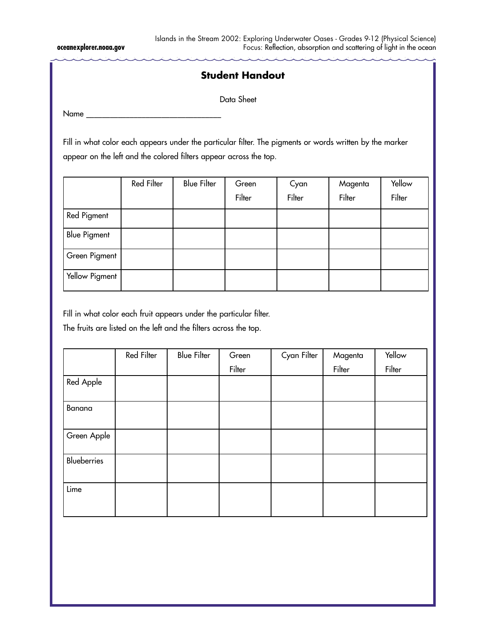## **Student Handout**

Data Sheet

Name

Fill in what color each appears under the particular filter. The pigments or words written by the marker appear on the left and the colored filters appear across the top.

|                     | Red Filter | <b>Blue Filter</b> | Green  | Cyan   | Magenta | Yellow |
|---------------------|------------|--------------------|--------|--------|---------|--------|
|                     |            |                    | Filter | Filter | Filter  | Filter |
| Red Pigment         |            |                    |        |        |         |        |
| <b>Blue Pigment</b> |            |                    |        |        |         |        |
| Green Pigment       |            |                    |        |        |         |        |
| Yellow Pigment      |            |                    |        |        |         |        |

Fill in what color each fruit appears under the particular filter.

The fruits are listed on the left and the filters across the top.

|             | Red Filter | <b>Blue Filter</b> | Green  | Cyan Filter | Magenta | Yellow |
|-------------|------------|--------------------|--------|-------------|---------|--------|
|             |            |                    | Filter |             | Filter  | Filter |
| Red Apple   |            |                    |        |             |         |        |
| Banana      |            |                    |        |             |         |        |
| Green Apple |            |                    |        |             |         |        |
| Blueberries |            |                    |        |             |         |        |
| Lime        |            |                    |        |             |         |        |